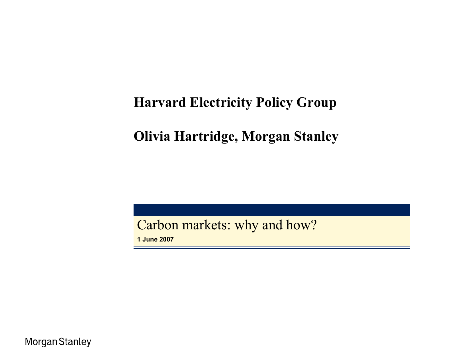### **Harvard Electricity Policy Group**

### **Olivia Hartridge, Morgan Stanley**

Carbon markets: why and how?

**1 June 2007**

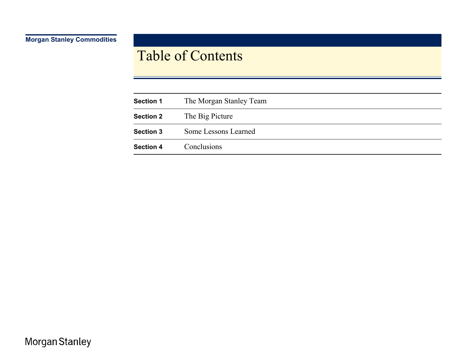#### Table of Contents

| <b>Section 1</b> | The Morgan Stanley Team |
|------------------|-------------------------|
| <b>Section 2</b> | The Big Picture         |
| <b>Section 3</b> | Some Lessons Learned    |
| <b>Section 4</b> | Conclusions             |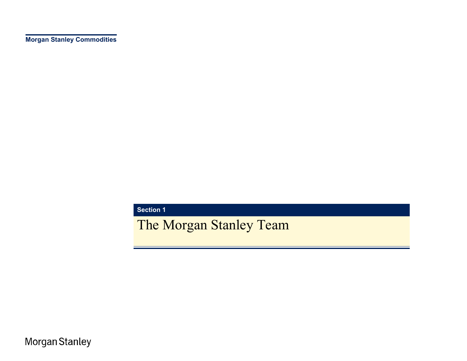**Section 1**

The Morgan Stanley Team

 $\mathbf{A}$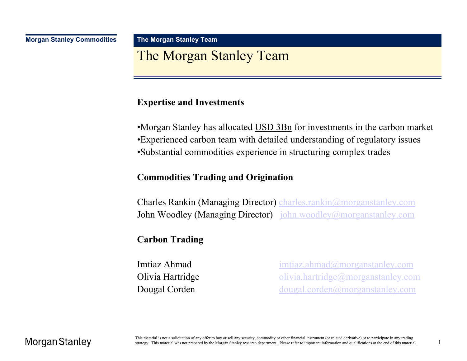#### **The Morgan Stanley Team**

### The Morgan Stanley Team

#### **Expertise and Investments**

•Morgan Stanley has allocated USD 3Bn for investments in the carbon market •Experienced carbon team with detailed understanding of regulatory issues •Substantial commodities experience in structuring complex trades

#### **Commodities Trading and Origination**

Charles Rankin (Managing Director) charles.rankin@morganstanley.com John Woodley (Managing Director) john.woodley@morganstanley.com

#### **Carbon Trading**

Imtiaz Ahmad

 imtiaz.ahmad@morganstanley.com Olivia Hartridge olivia.hartridge@morganstanley.com Dougal Corden dougal.corden all dougal corden all corden all corden as the com-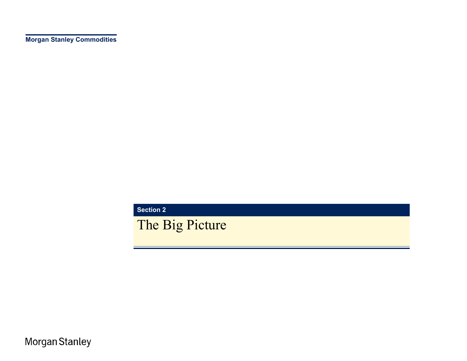**Section 2**

The Big Picture

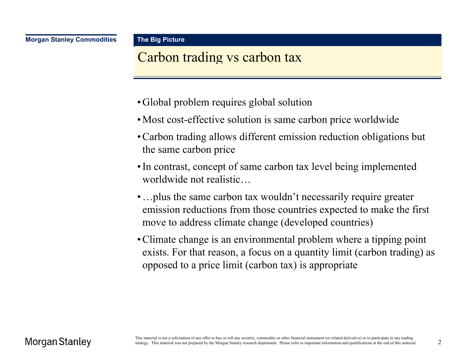# Carbon trading vs carbon tax

**The Big Picture**

- Global problem requires global solution
- Most cost-effective solution is same carbon price worldwide
- Carbon trading allows different emission reduction obligations but the same carbon price
- In contrast, concept of same carbon tax level being implemented worldwide not realistic…
- …plus the same carbon tax wouldn't necessarily require greater emission reductions from those countries expected to make the first move to address climate change (developed countries)
- Climate change is an environmental problem where a tipping point exists. For that reason, a focus on a quantity limit (carbon trading) as opposed to a price limit (carbon tax) is appropriate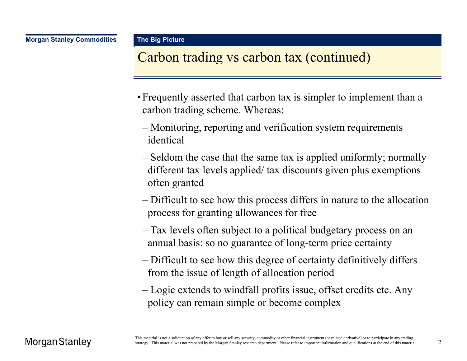### Carbon trading vs carbon tax (continued)

- Frequently asserted that carbon tax is simpler to implement than <sup>a</sup> carbon trading scheme. Whereas:
	- Monitoring, reporting and verification system requirements identical
	- Seldom the case that the same tax is applied uniformly; normally different tax levels applied/ tax discounts given plus exemptions often granted
	- Difficult to see how this process differs in nature to the allocation process for granting allowances for free
	- Tax levels often subject to a political budgetary process on an annual basis: so no guarantee of long-term price certainty
	- Difficult to see how this degree of certainty definitively differs from the issue of length of allocation period
	- Logic extends to windfall profits issue, offset credits etc. Any policy can remain simple or become complex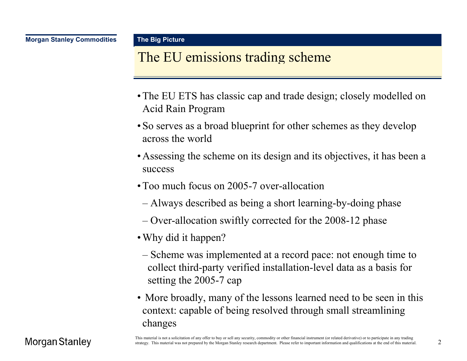#### The EU emissions trading scheme

- The EU ETS has classic cap and trade design; closely modelled on Acid Rain Program
- So serves as a broad blueprint for other schemes as they develop across the world
- Assessing the scheme on its design and its objectives, it has been a success
- Too much focus on 2005-7 over-allocation
- Always described as being a short learning-by-doing phase
- Over-allocation swiftly corrected for the 2008-12 phase
- Why did it happen?
	- Scheme was implemented at a record pace: not enough time to collect third-party verified installation-level data as a basis for setting the 2005-7 cap
- More broadly, many of the lessons learned need to be seen in this context: capable of being resolved through small streamlining changes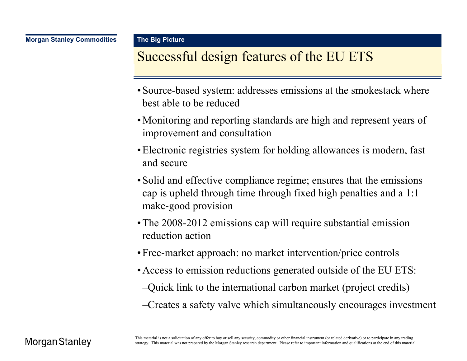# Successful design features of the EU ETS

- Source-based system: addresses emissions at the smokestack where best able to be reduced
- Monitoring and reporting standards are high and represent years of improvement and consultation
- Electronic registries system for holding allowances is modern, fast and secure
- Solid and effective compliance regime; ensures that the emissions cap is upheld through time through fixed high penalties and a 1:1 make-good provision
- The 2008-2012 emissions cap will require substantial emission reduction action
- Free-market approach: no market intervention/price controls
- Access to emission reductions generated outside of the EU ETS:
- –Quick link to the international carbon market (project credits)
- –Creates a safety valve which simultaneously encourages investment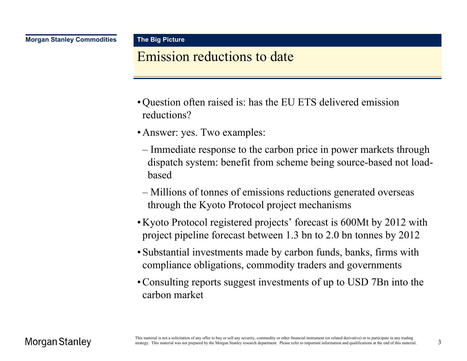# Emission reductions to date

**The Big Picture**

- Question often raised is: has the EU ETS delivered emission reductions?
- Answer: yes. Two examples:
	- Immediate response to the carbon price in power markets through dispatch system: benefit from scheme being source-based not loadbased
	- Millions of tonnes of emissions reductions generated overseas through the Kyoto Protocol project mechanisms
- Kyoto Protocol registered projects' forecast is 600Mt by 2012 with project pipeline forecast between 1.3 bn to 2.0 bn tonnes by 2012
- Substantial investments made by carbon funds, banks, firms with compliance obligations, commodity traders and governments
- Consulting reports suggest investments of up to USD 7Bn into the carbon market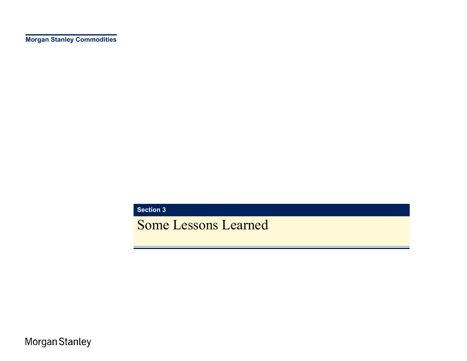**Section 3**

Some Lessons Learned

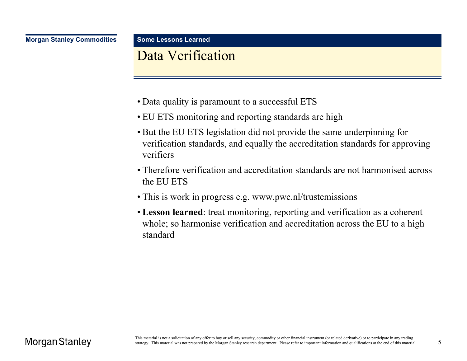## Data Verification

- Data quality is paramount to a successful ETS
- EU ETS monitoring and reporting standards are high
- But the EU ETS legislation did not provide the same underpinning for verification standards, and equally the accreditation standards for approving verifiers
- Therefore verification and accreditation standards are not harmonised across the EU ETS
- This is work in progress e.g. www.pwc.nl/trustemissions
- **Lesson learned**: treat monitoring, reporting and verification as a coherent whole; so harmonise verification and accreditation across the EU to a high standard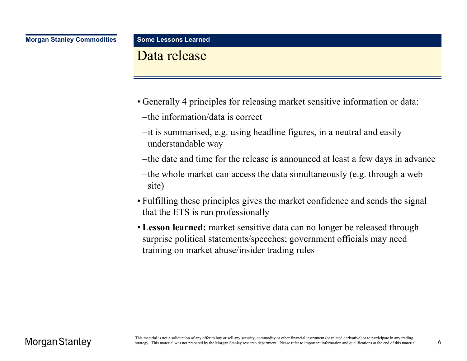#### Data release

- Generally 4 principles for releasing market sensitive information or data:
	- –the information/data is correct
	- –it is summarised, e.g. using headline figures, in a neutral and easily understandable way
	- –the date and time for the release is announced at least a few days in advance
	- –the whole market can access the data simultaneously (e.g. through a web site)
- Fulfilling these principles gives the market confidence and sends the signal that the ETS is run professionally
- **Lesson learned:** market sensitive data can no longer be released through surprise political statements/speeches; government officials may need training on market abuse/insider trading rules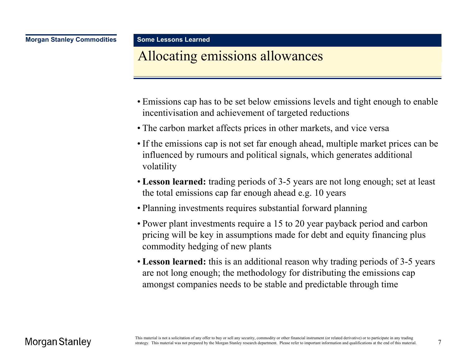# Allocating emissions allowances

- Emissions cap has to be set below emissions levels and tight enough to enable incentivisation and achievement of targeted reductions
- The carbon market affects prices in other markets, and vice versa
- If the emissions cap is not set far enough ahead, multiple market prices can be influenced by rumours and political signals, which generates additional volatility
- **Lesson learned:** trading periods of 3-5 years are not long enough; set at least the total emissions cap far enough ahead e.g. 10 years
- Planning investments requires substantial forward planning
- Power plant investments require a 15 to 20 year payback period and carbon pricing will be key in assumptions made for debt and equity financing plus commodity hedging of new plants
- **Lesson learned:** this is an additional reason why trading periods of 3-5 years are not long enough; the methodology for distributing the emissions cap amongst companies needs to be stable and predictable through time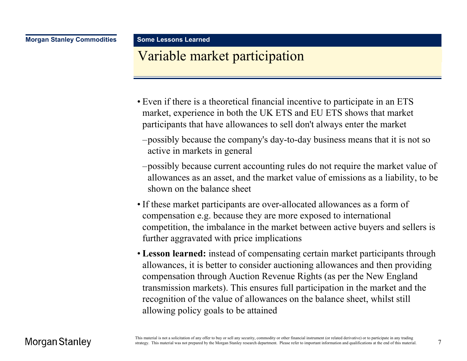## Variable market participation

- Even if there is a theoretical financial incentive to participate in an ETS market, experience in both the UK ETS and EU ETS shows that market participants that have allowances to sell don't always enter the market
	- –possibly because the company's day-to-day business means that it is not so active in markets in general
	- –possibly because current accounting rules do not require the market value of allowances as an asset, and the market value of emissions as a liability, to be shown on the balance sheet
- If these market participants are over-allocated allowances as a form of compensation e.g. because they are more exposed to international competition, the imbalance in the market between active buyers and sellers is further aggravated with price implications
- **Lesson learned:** instead of compensating certain market participants through allowances, it is better to consider auctioning allowances and then providing compensation through Auction Revenue Rights (as per the New England transmission markets). This ensures full participation in the market and the recognition of the value of allowances on the balance sheet, whilst still allowing policy goals to be attained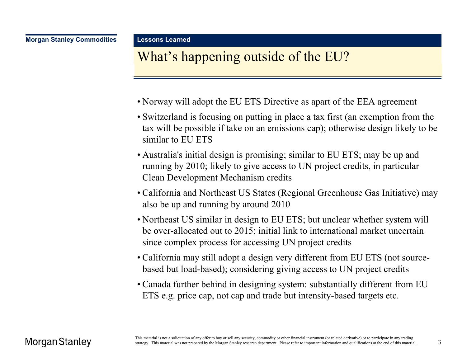## What's happening outside of the EU?

**Lessons Learned**

- Norway will adopt the EU ETS Directive as apart of the EEA agreement
- Switzerland is focusing on putting in place a tax first (an exemption from the tax will be possible if take on an emissions cap); otherwise design likely to be similar to EU ETS
- Australia's initial design is promising; similar to EU ETS; may be up and running by 2010; likely to give access to UN project credits, in particular Clean Development Mechanism credits
- California and Northeast US States (Regional Greenhouse Gas Initiative) may also be up and running by around 2010
- Northeast US similar in design to EU ETS; but unclear whether system will be over-allocated out to 2015; initial link to international market uncertain since complex process for accessing UN project credits
- California may still adopt a design very different from EU ETS (not sourcebased but load-based); considering giving access to UN project credits
- Canada further behind in designing system: substantially different from EU ETS e.g. price cap, not cap and trade but intensity-based targets etc.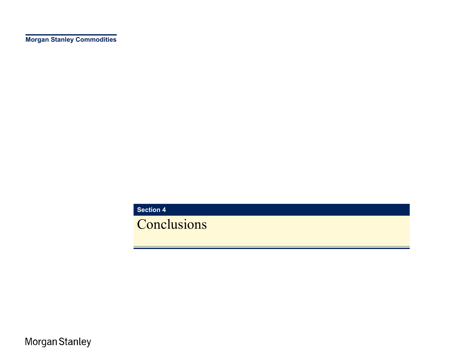**Section 4**

**Conclusions** 

 $\mathbf{A}$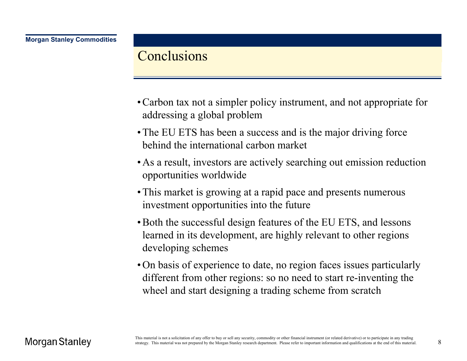#### **Conclusions**

- Carbon tax not a simpler policy instrument, and not appropriate for addressing a global problem
- The EU ETS has been a success and is the major driving force behind the international carbon market
- As a result, investors are actively searching out emission reduction opportunities worldwide
- This market is growing at a rapid pace and presents numerous investment opportunities into the future
- Both the successful design features of the EU ETS, and lessons learned in its development, are highly relevant to other regions developing schemes
- On basis of experience to date, no region faces issues particularly different from other regions: so no need to start re-inventing the wheel and start designing a trading scheme from scratch